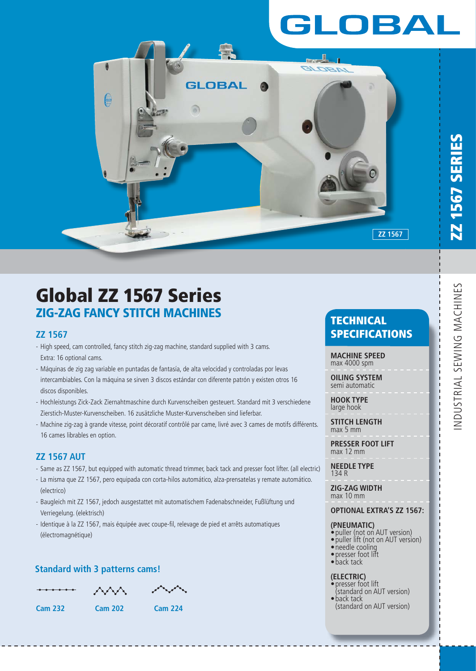# LOBAL



# **Global ZZ 1567 Series ZIG-ZAG FANCY STITCH MACHINES**

### **ZZ 1567**

- High speed, cam controlled, fancy stitch zig-zag machine, standard supplied with 3 cams. Extra: 16 optional cams.
- Máquinas de zig zag variable en puntadas de fantasía, de alta velocidad y controladas por levas intercambiables. Con la máquina se sirven 3 discos estándar con diferente patrón y existen otros 16 discos disponibles.
- Hochleistungs Zick-Zack Ziernahtmaschine durch Kurvenscheiben gesteuert. Standard mit 3 verschiedene Zierstich-Muster-Kurvenscheiben. 16 zusätzliche Muster-Kurvenscheiben sind lieferbar.
- Machine zig-zag à grande vitesse, point décoratif contrôlé par came, livré avec 3 cames de motifs différents. 16 cames librables en option.

## **ZZ 1567 AUT**

- Same as ZZ 1567, but equipped with automatic thread trimmer, back tack and presser foot lifter. (all electric)
- La misma que ZZ 1567, pero equipada con corta-hilos automático, alza-prensatelas y remate automático. (electrico)
- Baugleich mit ZZ 1567, jedoch ausgestattet mit automatischem Fadenabschneider, Fußlüftung und Verriegelung. (elektrisch)
- Identique à la ZZ 1567, mais équipée avec coupe-fil, relevage de pied et arrêts automatiques (électromagnétique)

# **Standard with 3 patterns cams!**

**Cam 232 Cam 202 Cam 224**

# **TECHNICAL SPECIFICATIONS**

**MACHINE SPEED** max 4000 spm

**OILING SYSTEM** semi automatic

**HOOK TYPE** large hook

**STITCH LENGTH** max 5 mm

**PRESSER FOOT LIFT** max 12 mm

**NEEDLE TYPE** 134 R

**ZIG-ZAG WIDTH** max 10 mm

#### **OPTIONAL EXTRA'S ZZ 1567:**

#### **(PNEUMATIC)**

- puller (not on AUT version)
- puller lift (not on AUT version) • needle cooling
- presser foot lift
- back tack

#### **(ELECTRIC)**

- presser foot lift (standard on AUT version) • back tack
- (standard on AUT version)

**ZZ 1567 SERIES**

**Z 1567 SERIES**